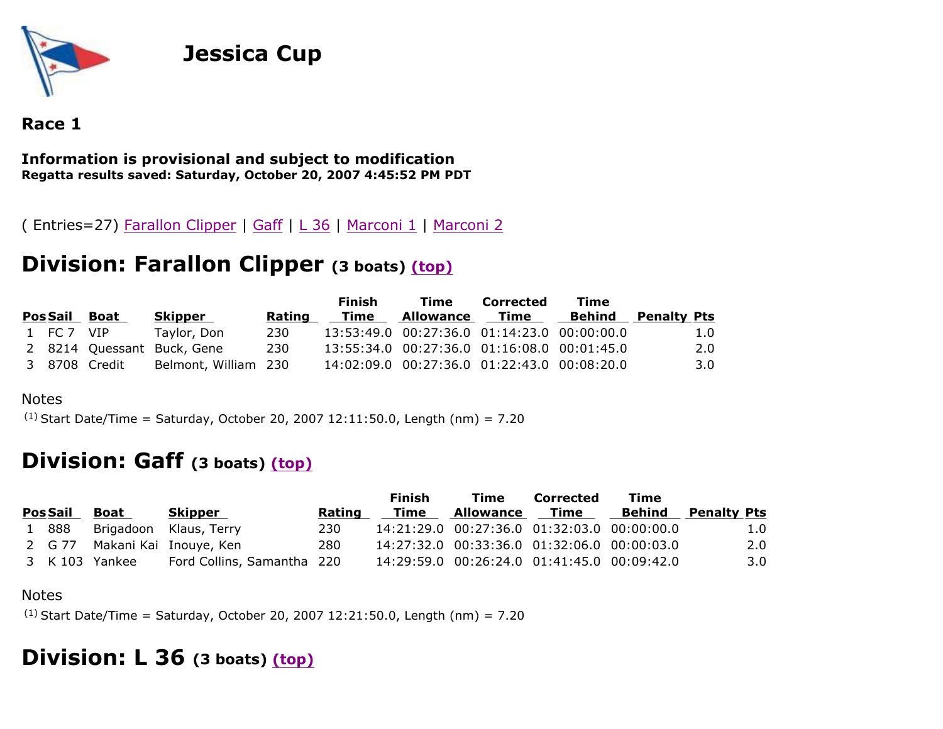

## **Jessica Cup**

### **Race 1**

#### **Information is provisional and subject to modification Regatta results saved: Saturday, October 20, 2007 4:45:52 PM PDT**

( Entries=27) Farallon Clipper | Gaff | L 36 | Marconi 1 | Marconi 2

### **Division: Farallon Clipper (3 boats) (top)**

|            |               |                            |        | <b>Finish</b> | Time                                        | Corrected   | Time   |                    |
|------------|---------------|----------------------------|--------|---------------|---------------------------------------------|-------------|--------|--------------------|
|            | Pos Sail Boat | Skipper                    | Rating | Time          | Allowance                                   | <b>Time</b> | Behind | <b>Penalty Pts</b> |
| 1 FC 7 VIP |               | Taylor, Don                | 230    |               | 13:53:49.0 00:27:36.0 01:14:23.0 00:00:00.0 |             |        | 1.0                |
|            |               | 2 8214 Quessant Buck, Gene | 230    |               | 13:55:34.0 00:27:36.0 01:16:08.0 00:01:45.0 |             |        | 2.0                |
|            | 3 8708 Credit | Belmont, William 230       |        |               | 14:02:09.0 00:27:36.0 01:22:43.0 00:08:20.0 |             |        | 3.0 <sub>1</sub>   |

#### Notes

(1) Start Date/Time = Saturday, October 20, 2007 12:11:50.0, Length (nm) = 7.20

### **Division: Gaff (3 boats) (top)**

|                 |                |                               |        | Finish | Time                                        | Corrected   | Time |                           |
|-----------------|----------------|-------------------------------|--------|--------|---------------------------------------------|-------------|------|---------------------------|
| <b>Pos Sail</b> | Boat           | Skipper                       | Rating | Time   | <b>Allowance</b>                            | <b>Time</b> |      | <b>Behind</b> Penalty Pts |
| 1 888           |                | Brigadoon Klaus, Terry        | 230    |        | 14:21:29.0 00:27:36.0 01:32:03.0 00:00:00.0 |             |      | 1.0                       |
|                 |                | 2 G 77 Makani Kai Inouye, Ken | 280    |        | 14:27:32.0 00:33:36.0 01:32:06.0 00:00:03.0 |             |      | 2.0                       |
|                 | 3 K 103 Yankee | Ford Collins, Samantha 220    |        |        | 14:29:59.0 00:26:24.0 01:41:45.0 00:09:42.0 |             |      | $3.0^{\circ}$             |

#### Notes

 $(1)$  Start Date/Time = Saturday, October 20, 2007 12:21:50.0, Length (nm) = 7.20

## **Division: L 36 (3 boats) (top)**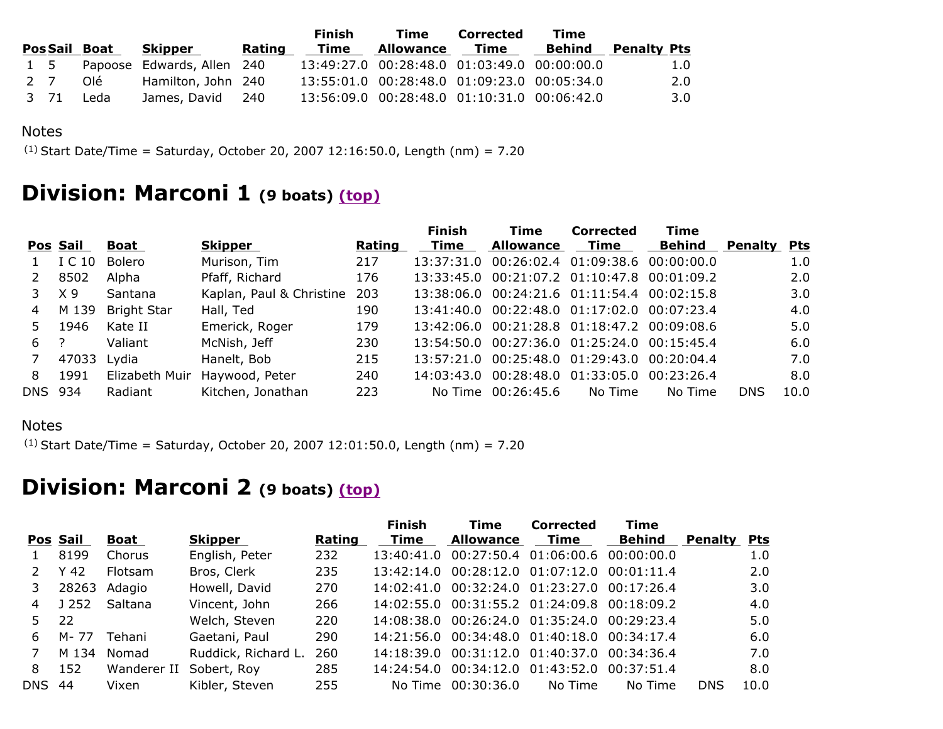|  |      |                     |                                | <b>Finish</b> |      | Time                                        | Corrected | Time |                           |  |
|--|------|---------------------|--------------------------------|---------------|------|---------------------------------------------|-----------|------|---------------------------|--|
|  |      | <b>PosSail Boat</b> | Skipper                        | Rating        | Time | <b>Allowance Time</b>                       |           |      | <b>Behind</b> Penalty Pts |  |
|  |      |                     | 1 5 Papoose Edwards, Allen 240 |               |      | 13:49:27.0 00:28:48.0 01:03:49.0 00:00:00.0 |           |      | 1.0                       |  |
|  | 2 7  | Olé                 | Hamilton, John 240             |               |      | 13:55:01.0 00:28:48.0 01:09:23.0 00:05:34.0 |           |      | 2.0                       |  |
|  | 3 71 | Leda                | James, David 240               |               |      | 13:56:09.0 00:28:48.0 01:10:31.0 00:06:42.0 |           |      | 3.0                       |  |

#### Notes

 $(1)$  Start Date/Time = Saturday, October 20, 2007 12:16:50.0, Length (nm) = 7.20

# **Division: Marconi 1 (9 boats) (top)**

|          |                    |                          |        | <b>Finish</b> | <b>Time</b>      | <b>Corrected</b>   | <b>Time</b>   |                                                                                                                                                                                                                                                                                                                                                                                      |            |
|----------|--------------------|--------------------------|--------|---------------|------------------|--------------------|---------------|--------------------------------------------------------------------------------------------------------------------------------------------------------------------------------------------------------------------------------------------------------------------------------------------------------------------------------------------------------------------------------------|------------|
| Pos Sail | Boat               | <b>Skipper</b>           | Rating | Time          | <b>Allowance</b> | Time               | <b>Behind</b> | Penalty                                                                                                                                                                                                                                                                                                                                                                              | <b>Pts</b> |
| I C 10   | Bolero             | Murison, Tim             | 217    |               |                  |                    |               |                                                                                                                                                                                                                                                                                                                                                                                      | 1.0        |
| 8502     | Alpha              | Pfaff, Richard           | 176    |               |                  |                    |               |                                                                                                                                                                                                                                                                                                                                                                                      | 2.0        |
| X 9      | Santana            | Kaplan, Paul & Christine | 203    |               |                  |                    |               |                                                                                                                                                                                                                                                                                                                                                                                      | 3.0        |
| M 139    | <b>Bright Star</b> | Hall, Ted                | 190    |               |                  |                    |               |                                                                                                                                                                                                                                                                                                                                                                                      | 4.0        |
| 1946     | Kate II            | Emerick, Roger           | 179    |               |                  |                    |               |                                                                                                                                                                                                                                                                                                                                                                                      | 5.0        |
| - 2      | Valiant            | McNish, Jeff             | 230    |               |                  |                    |               |                                                                                                                                                                                                                                                                                                                                                                                      | 6.0        |
| 47033    |                    | Hanelt, Bob              | 215    |               |                  |                    |               |                                                                                                                                                                                                                                                                                                                                                                                      | 7.0        |
| 1991     | Elizabeth Muir     | Haywood, Peter           | 240    |               |                  |                    |               |                                                                                                                                                                                                                                                                                                                                                                                      | 8.0        |
| DNS 934  | Radiant            | Kitchen, Jonathan        | 223    |               |                  | No Time            | No Time       | <b>DNS</b>                                                                                                                                                                                                                                                                                                                                                                           | 10.0       |
|          |                    | Lydia                    |        |               |                  | No Time 00:26:45.6 |               | 13:37:31.0 00:26:02.4 01:09:38.6 00:00:00.0<br>13:33:45.0 00:21:07.2 01:10:47.8 00:01:09.2<br>13:38:06.0 00:24:21.6 01:11:54.4 00:02:15.8<br>13:41:40.0 00:22:48.0 01:17:02.0 00:07:23.4<br>13:42:06.0 00:21:28.8 01:18:47.2 00:09:08.6<br>13:54:50.0 00:27:36.0 01:25:24.0 00:15:45.4<br>13:57:21.0 00:25:48.0 01:29:43.0 00:20:04.4<br>14:03:43.0 00:28:48.0 01:33:05.0 00:23:26.4 |            |

#### Notes

 $(1)$  Start Date/Time = Saturday, October 20, 2007 12:01:50.0, Length (nm) = 7.20

# **Division: Marconi 2 (9 boats) (top)**

|     |          |                |                     |        | <b>Finish</b> | Time                                        | <b>Corrected</b> | Time          |                |            |
|-----|----------|----------------|---------------------|--------|---------------|---------------------------------------------|------------------|---------------|----------------|------------|
|     | Pos Sail | Boat           | Skipper             | Rating | Time          | <b>Allowance</b>                            | Time             | <b>Behind</b> | <b>Penalty</b> | <b>Pts</b> |
|     | 8199     | Chorus         | English, Peter      | 232    | 13:40:41.0    | 00:27:50.4 01:06:00.6 00:00:00.0            |                  |               |                | 1.0        |
|     | Y 42     | <b>Flotsam</b> | Bros, Clerk         | 235    |               | 13:42:14.0 00:28:12.0 01:07:12.0 00:01:11.4 |                  |               |                | 2.0        |
| 3   | 28263    | Adagio         | Howell, David       | 270    |               | 14:02:41.0 00:32:24.0 01:23:27.0 00:17:26.4 |                  |               |                | 3.0        |
| 4   | J 252    | Saltana        | Vincent, John       | 266    |               | 14:02:55.0 00:31:55.2 01:24:09.8 00:18:09.2 |                  |               |                | 4.0        |
| 5.  | 22       |                | Welch, Steven       | 220    |               | 14:08:38.0 00:26:24.0 01:35:24.0 00:29:23.4 |                  |               |                | 5.0        |
| 6.  | M- 77    | Tehani         | Gaetani, Paul       | 290    |               | 14:21:56.0 00:34:48.0 01:40:18.0 00:34:17.4 |                  |               |                | 6.0        |
|     | M 134    | Nomad          | Ruddick, Richard L. | 260    |               | 14:18:39.0 00:31:12.0 01:40:37.0 00:34:36.4 |                  |               |                | 7.0        |
| 8   | 152      | Wanderer II    | Sobert, Roy         | 285    |               | 14:24:54.0 00:34:12.0 01:43:52.0 00:37:51.4 |                  |               |                | 8.0        |
| DNS | -44      | Vixen          | Kibler, Steven      | 255    | No Time       | 00:30:36.0                                  | No Time          | No Time       | <b>DNS</b>     | 10.0       |